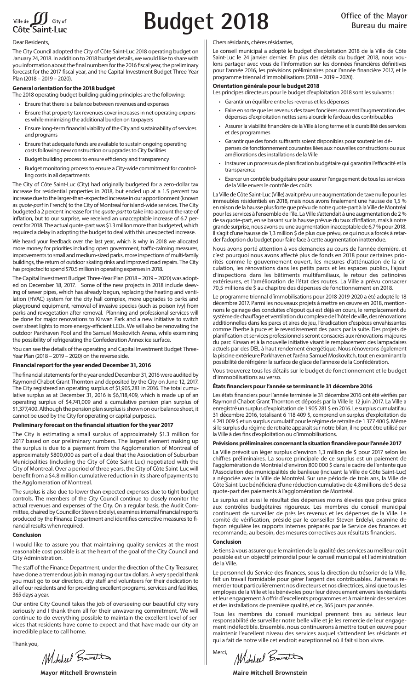

# **Budget 2018 Office of the Mayor**

#### Dear Residents,

The City Council adopted the City of Côte Saint-Luc 2018 operating budget on January 24, 2018. In addition to 2018 budget details, we would like to share with you information about the final numbers for the 2016 fiscal year, the preliminary forecast for the 2017 fiscal year, and the Capital Investment Budget Three-Year Plan (2018 – 2019 – 2020).

## **General orientation for the 2018 budget**

- The 2018 operating budget building guiding principles are the following:
	- Ensure that there is a balance between revenues and expenses
	- Ensure that property tax revenues cover increases in net operating expenses while minimizing the additional burden on taxpayers
	- Ensure long-term financial viability of the City and sustainability of services and programs
	- Ensure that adequate funds are available to sustain ongoing operating costs following new construction or upgrades to City facilities
	- Budget building process to ensure efficiency and transparency
	- Budget monitoring process to ensure a City-wide commitment for controlling costs in all departments

The City of Côte Saint-Luc (City) had originally budgeted for a zero-dollar tax increase for residential properties in 2018, but ended up at a 1.5 percent tax increase due to the larger-than-expected increase in our apportionment (known as *quote-part* in French) to the City of Montreal for island-wide services. The City budgeted a 2 percent increase for the *quote-part* to take into account the rate of inflation, but to our surprise, we received an unacceptable increase of 6.7 percent for 2018. The actual quote-part was \$1.3 million more than budgeted, which required a delay in adopting the budget to deal with this unexpected increase.

We heard your feedback over the last year, which is why in 2018 we allocated more money for priorities including open government, traffic-calming measures, improvements to small and medium-sized parks, more inspections of multi-family buildings, the return of outdoor skating rinks and improved road repairs. The City has projected to spend \$70.5 million in operating expenses in 2018.

The Capital Investment Budget Three-Year Plan (2018 – 2019 – 2020) was adopted on December 18, 2017. Some of the new projects in 2018 include sleeving of sewer pipes, which has already begun, replacing the heating and ventilation (HVAC) system for the city hall complex, more upgrades to parks and playground equipment, removal of invasive species (such as poison ivy) from parks and revegetation after removal. Planning and professional services will be done for major renovations to Kirwan Park and a new initiative to switch over street lights to more energy-efficient LEDs. We will also be renovating the outdoor Parkhaven Pool and the Samuel Moskovitch Arena, while examining the possibility of refrigerating the Confederation Annex ice surface.

You can see the details of the operating and Capital Investment Budget Three-Year Plan (2018 – 2019 – 2020) on the reverse side.

## **Financial report for the year ended December 31, 2016**

The financial statements for the year ended December 31, 2016 were audited by Raymond Chabot Grant Thornton and deposited by the City on June 12, 2017. The City registered an operating surplus of \$1,905,281 in 2016. The total cumulative surplus as at December 31, 2016 is \$6,118,409, which is made up of an operating surplus of \$4,741,009 and a cumulative pension plan surplus of \$1,377,400. Although the pension plan surplus is shown on our balance sheet, it cannot be used by the City for operating or capital purposes.

## **Preliminary forecast on the financial situation for the year 2017**

The City is estimating a small surplus of approximately \$1.3 million for 2017 based on our preliminary numbers. The largest element making up the surplus is due to a payment from the Agglomeration of Montreal of approximately \$800,000 as part of a deal that the Association of Suburban Municipalities (including the City of Côte Saint-Luc) negotiated with the City of Montreal. Over a period of three years, the City of Côte Saint-Luc will benefit from a \$4.8 million cumulative reduction in its share of payments to the Agglomeration of Montreal.

The surplus is also due to lower than expected expenses due to tight budget controls. The members of the City Council continue to closely monitor the actual revenues and expenses of the City. On a regular basis, the Audit Committee, chaired by Councillor Steven Erdelyi, examines internal financial reports produced by the Finance Department and identifies corrective measures to financial results when required.

## **Conclusion**

I would like to assure you that maintaining quality services at the most reasonable cost possible is at the heart of the goal of the City Council and City Administration.

The staff of the Finance Department, under the direction of the City Treasurer, have done a tremendous job in managing our tax dollars. A very special thank you must go to our directors, city staff and volunteers for their dedication to all of our residents and for providing excellent programs, services and facilities, 365 days a year.

Our entire City Council takes the job of overseeing our beautiful city very seriously and I thank them all for their unwavering commitment. We will continue to do everything possible to maintain the excellent level of services that residents have come to expect and that have made our city an incredible place to call home.

Thank you,

Mitchel Boundin

#### Chers résidants, chères résidantes,

Le conseil municipal a adopté le budget d'exploitation 2018 de la Ville de Côte Saint-Luc le 24 janvier dernier. En plus des détails du budget 2018, nous voulons partager avec vous de l'information sur les données financières définitives pour l'année 2016, les prévisions préliminaires pour l'année financière 2017, et le programme triennal d'immobilisations (2018 – 2019 – 2020).

## **Orientation générale pour le budget 2018**

Les principes directeurs pour le budget d'exploitation 2018 sont les suivants :

- Garantir un équilibre entre les revenus et les dépenses
- Faire en sorte que les revenus des taxes foncières couvrent l'augmentation des dépenses d'exploitation nettes sans alourdir le fardeau des contribuables
- Assurer la viabilité financière de la Ville à long terme et la durabilité des services et des programmes
- Garantir que des fonds suffisants soient disponibles pour soutenir les dépenses de fonctionnement courantes liées aux nouvelles constructions ou aux améliorations des installations de la Ville
- Instaurer un processus de planification budgétaire qui garantira l'efficacité et la transparence
- Exercer un contrôle budgétaire pour assurer l'engagement de tous les services de la Ville envers le contrôle des coûts

La Ville de Côte Saint-Luc (Ville) avait prévu une augmentation de taxe nulle pour les immeubles résidentiels en 2018, mais nous avons finalement une hausse de 1,5 % en raison de la hausse plus forte que prévu de notre quote-part à la Ville de Montréal pour les services à l'ensemble de l'île. La Ville s'attendait à une augmentation de 2 % .<br>de sa quote-part, en se basant sur la hausse prévue du taux d'inflation, mais à notre grande surprise, nous avons eu une augmentation inacceptable de 6,7 % pour 2018. Il s'agit d'une hausse de 1,3 million \$ de plus que prévu, ce qui nous a forcés à retarder l'adoption du budget pour faire face à cette augmentation inattendue.

Nous avons porté attention à vos demandes au cours de l'année dernière, et c'est pourquoi nous avons affecté plus de fonds en 2018 pour certaines priorités comme le gouvernement ouvert, les mesures d'atténuation de la circulation, les rénovations dans les petits parcs et les espaces publics, l'ajout d'inspections dans les bâtiments multifamiliaux, le retour des patinoires extérieures, et l'amélioration de l'état des routes. La Ville a prévu consacrer 70,5 millions de \$ au chapitre des dépenses de fonctionnement en 2018.

Le programme triennal d'immobilisations pour 2018-2019-2020 a été adopté le 18 décembre 2017. Parmi les nouveaux projets à mettre en œuvre en 2018, mentionnons le gainage des conduites d'égout qui est déjà en cours, le remplacement du système de chauffage et ventilation du complexe de l'hôtel de ville, des rénovations additionnelles dans les parcs et aires de jeu, l'éradication d'espèces envahissantes comme l'herbe à puce et le reverdissement des parcs par la suite. Des projets de planification et services professionnels seront consacrés aux rénovations majeures du parc Kirwan et à la nouvelle initiative visant le remplacement des lampadaires actuels par des DEL à haut rendement énergétique. Nous rénoverons également la piscine extérieure Parkhaven et l'aréna Samuel Moskovitch, tout en examinant la possibilité de réfrigérer la surface de glace de l'annexe de la Confédération.

Vous trouverez tous les détails sur le budget de fonctionnement et le budget d'immobilisations au verso.

## **États financiers pour l'année se terminant le 31 décembre 2016**

Les états financiers pour l'année terminée le 31 décembre 2016 ont été vérifiés par Raymond Chabot Grant Thornton et déposés par la Ville le 12 juin 2017. La Ville a enregistré un surplus d'exploitation de 1 905 281 \$ en 2016. Le surplus cumulatif au 31 décembre 2016, totalisant 6 118 409 \$, comprend un surplus d'exploitation de 4 741 009 \$ et un surplus cumulatif pour le régime de retraite de 1 377 400 \$. Même si le surplus du régime de retraite apparaît sur notre bilan, il ne peut être utilisé par la Ville à des fins d'exploitation ou d'immobilisations.

### **Prévisions préliminaires concernant la situation financière pour l'année 2017**

La Ville prévoit un léger surplus d'environ 1,3 million de \$ pour 2017 selon les chiffres préliminaires. La source principale de ce surplus est un paiement de l'agglomération de Montréal d'environ 800 000 \$ dans le cadre de l'entente que l'Association des municipalités de banlieue (incluant la Ville de Côte Saint-Luc) a négociée avec la Ville de Montréal. Sur une période de trois ans, la Ville de Côte Saint-Luc bénéficiera d'une réduction cumulative de 4,8 millions de \$ de sa quote-part des paiements à l'agglomération de Montréal.

Le surplus est aussi le résultat des dépenses moins élevées que prévu grâce aux contrôles budgétaires rigoureux. Les membres du conseil municipal continuent de surveiller de près les revenus et les dépenses de la Ville. Le comité de vérification, présidé par le conseiller Steven Erdelyi, examine de façon régulière les rapports internes préparés par le Service des finances et recommande, au besoin, des mesures correctives aux résultats financiers.

#### **Conclusion**

Je tiens à vous assurer que le maintien de la qualité des services au meilleur coût possible est un objectif primordial pour le conseil municipal et l'administration de la Ville.

Le personnel du Service des finances, sous la direction du trésorier de la Ville, fait un travail formidable pour gérer l'argent des contribuables. J'aimerais remercier tout particulièrement nos directeurs et nos directrices, ainsi que tous les employés de la Ville et les bénévoles pour leur dévouement envers les résidants et leur engagement à offrir d'excellents programmes et à maintenir des services et des installations de première qualité, et ce, 365 jours par année.

Tous les membres du conseil municipal prennent très au sérieux leur responsabilité de surveiller notre belle ville et je les remercie de leur engagement indéfectible. Ensemble, nous continuerons à mettre tout en œuvre pour maintenir l'excellent niveau des services auquel s'attendent les résidants et qui a fait de notre ville cet endroit exceptionnel où il fait si bon vivre.

Mitchell Bravatt Merci,

**Mayor Mitchell Brownstein Maire Mitchell Brownstein**